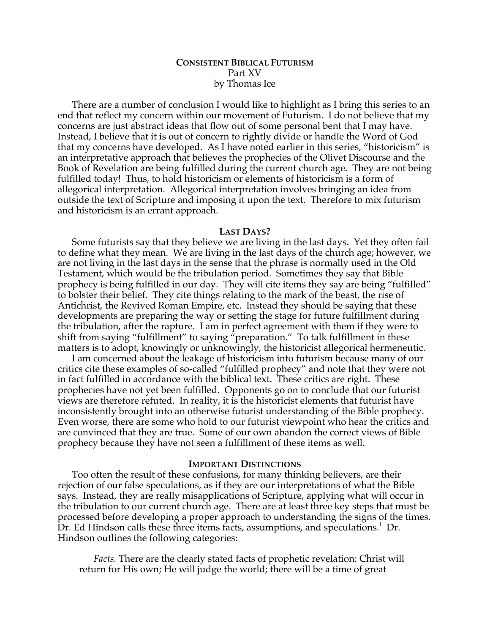# **CONSISTENT BIBLICAL FUTURISM** Part XV by Thomas Ice

There are a number of conclusion I would like to highlight as I bring this series to an end that reflect my concern within our movement of Futurism. I do not believe that my concerns are just abstract ideas that flow out of some personal bent that I may have. Instead, I believe that it is out of concern to rightly divide or handle the Word of God that my concerns have developed. As I have noted earlier in this series, "historicism" is an interpretative approach that believes the prophecies of the Olivet Discourse and the Book of Revelation are being fulfilled during the current church age. They are not being fulfilled today! Thus, to hold historicism or elements of historicism is a form of allegorical interpretation. Allegorical interpretation involves bringing an idea from outside the text of Scripture and imposing it upon the text. Therefore to mix futurism and historicism is an errant approach.

#### **LAST DAYS?**

Some futurists say that they believe we are living in the last days. Yet they often fail to define what they mean. We are living in the last days of the church age; however, we are not living in the last days in the sense that the phrase is normally used in the Old Testament, which would be the tribulation period. Sometimes they say that Bible prophecy is being fulfilled in our day. They will cite items they say are being "fulfilled" to bolster their belief. They cite things relating to the mark of the beast, the rise of Antichrist, the Revived Roman Empire, etc. Instead they should be saying that these developments are preparing the way or setting the stage for future fulfillment during the tribulation, after the rapture. I am in perfect agreement with them if they were to shift from saying "fulfillment" to saying "preparation." To talk fulfillment in these matters is to adopt, knowingly or unknowingly, the historicist allegorical hermeneutic.

I am concerned about the leakage of historicism into futurism because many of our critics cite these examples of so-called "fulfilled prophecy" and note that they were not in fact fulfilled in accordance with the biblical text. These critics are right. These prophecies have not yet been fulfilled. Opponents go on to conclude that our futurist views are therefore refuted. In reality, it is the historicist elements that futurist have inconsistently brought into an otherwise futurist understanding of the Bible prophecy. Even worse, there are some who hold to our futurist viewpoint who hear the critics and are convinced that they are true. Some of our own abandon the correct views of Bible prophecy because they have not seen a fulfillment of these items as well.

## **IMPORTANT DISTINCTIONS**

Too often the result of these confusions, for many thinking believers, are their rejection of our false speculations, as if they are our interpretations of what the Bible says. Instead, they are really misapplications of Scripture, applying what will occur in the tribulation to our current church age. There are at least three key steps that must be processed before developing a proper approach to understanding the signs of the times. Dr. Ed Hindson calls these three items facts, assumptions, and speculations.<sup>1</sup> Dr. Hindson outlines the following categories:

*Facts.* There are the clearly stated facts of prophetic revelation: Christ will return for His own; He will judge the world; there will be a time of great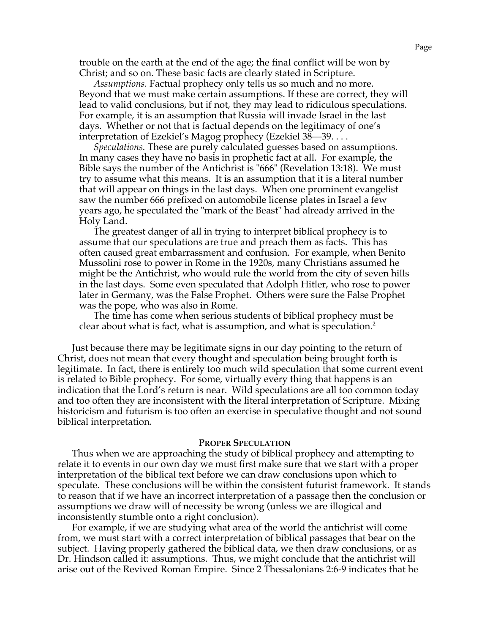trouble on the earth at the end of the age; the final conflict will be won by Christ; and so on. These basic facts are clearly stated in Scripture.

*Assumptions.* Factual prophecy only tells us so much and no more. Beyond that we must make certain assumptions. If these are correct, they will lead to valid conclusions, but if not, they may lead to ridiculous speculations. For example, it is an assumption that Russia will invade Israel in the last days. Whether or not that is factual depends on the legitimacy of one's interpretation of Ezekiel's Magog prophecy (Ezekiel 38—39. . . .

*Speculations.* These are purely calculated guesses based on assumptions. In many cases they have no basis in prophetic fact at all. For example, the Bible says the number of the Antichrist is "666" (Revelation 13:18). We must try to assume what this means. It is an assumption that it is a literal number that will appear on things in the last days. When one prominent evangelist saw the number 666 prefixed on automobile license plates in Israel a few years ago, he speculated the "mark of the Beast" had already arrived in the Holy Land.

The greatest danger of all in trying to interpret biblical prophecy is to assume that our speculations are true and preach them as facts. This has often caused great embarrassment and confusion. For example, when Benito Mussolini rose to power in Rome in the 1920s, many Christians assumed he might be the Antichrist, who would rule the world from the city of seven hills in the last days. Some even speculated that Adolph Hitler, who rose to power later in Germany, was the False Prophet. Others were sure the False Prophet was the pope, who was also in Rome.

The time has come when serious students of biblical prophecy must be clear about what is fact, what is assumption, and what is speculation.<sup>2</sup>

Just because there may be legitimate signs in our day pointing to the return of Christ, does not mean that every thought and speculation being brought forth is legitimate. In fact, there is entirely too much wild speculation that some current event is related to Bible prophecy. For some, virtually every thing that happens is an indication that the Lord's return is near. Wild speculations are all too common today and too often they are inconsistent with the literal interpretation of Scripture. Mixing historicism and futurism is too often an exercise in speculative thought and not sound biblical interpretation.

#### **PROPER SPECULATION**

Thus when we are approaching the study of biblical prophecy and attempting to relate it to events in our own day we must first make sure that we start with a proper interpretation of the biblical text before we can draw conclusions upon which to speculate. These conclusions will be within the consistent futurist framework. It stands to reason that if we have an incorrect interpretation of a passage then the conclusion or assumptions we draw will of necessity be wrong (unless we are illogical and inconsistently stumble onto a right conclusion).

For example, if we are studying what area of the world the antichrist will come from, we must start with a correct interpretation of biblical passages that bear on the subject. Having properly gathered the biblical data, we then draw conclusions, or as Dr. Hindson called it: assumptions. Thus, we might conclude that the antichrist will arise out of the Revived Roman Empire. Since 2 Thessalonians 2:6-9 indicates that he